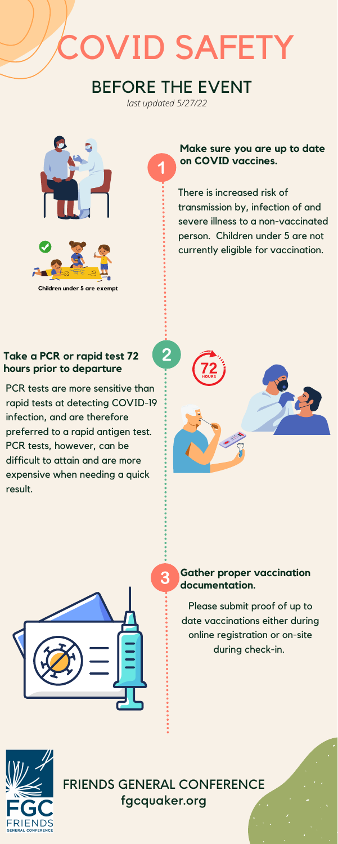## BEFORE THE EVENT

## COVID SAFETY

**Children under 5 are exempt**

## FRIENDS GENERAL CONFERENCE fgcquaker.org

### **Make sure you are up to date on COVID vaccines.**

There is increased risk of transmission by, infection of and severe illness to a non-vaccinated person. Children under 5 are not currently eligible for vaccination.

PCR tests are more sensitive than rapid tests at detecting COVID-19 infection, and are therefore preferred to a rapid antigen test. PCR tests, however, can be difficult to attain and are more expensive when needing a quick result.





### **Take a PCR or rapid test 72 hours prior to departure**

#### **Gather proper vaccination documentation.**

Please submit proof of up to date vaccinations either during online registration or on-site during check-in.



*last updated 5/27/22*

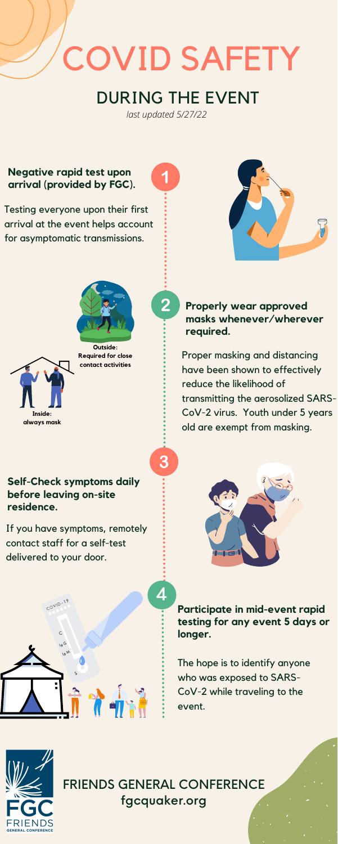

**Outside: Required for close contact activities**

## FRIENDS GENERAL CONFERENCE fgcquaker.org

If you have symptoms, remotely contact staff for a self-test delivered to your door.





**Participate in mid-event rapid testing for any event 5 days or longer.**

The hope is to identify anyone who was exposed to SARS-CoV-2 while traveling to the event.



**Properly wear approved masks whenever/wherever required.**

Proper masking and distancing have been shown to effectively reduce the likelihood of transmitting the aerosolized SARS-CoV-2 virus. Youth under 5 years old are exempt from masking.

## DURING THE EVENT

## COVID SAFETY

### **Negative rapid test upon arrival (provided by FGC).**

Testing everyone upon their first arrival at the event helps account for asymptomatic transmissions.







*last updated 5/27/22*

2

3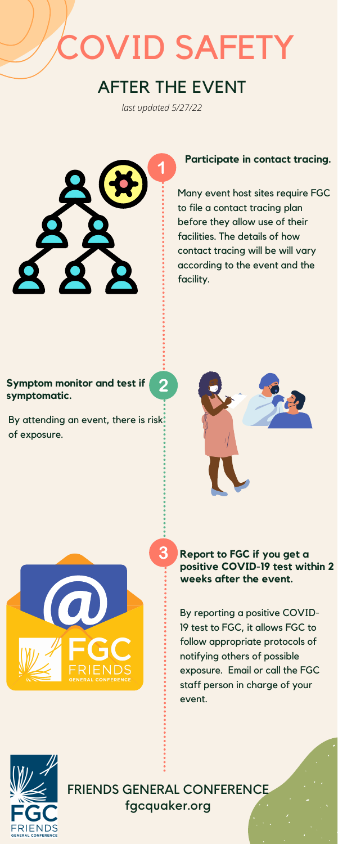FRIENDS GENERAL CONFERENCE fgcquaker.org

**Report to FGC if you get a positive COVID-19 test within 2 weeks after the event.**

By reporting a positive COVID-19 test to FGC, it allows FGC to follow appropriate protocols of notifying others of possible exposure. Email or call the FGC staff person in charge of your event.



By attending an event, there is risk. of exposure.





#### **Participate in contact tracing.**

Many event host sites require FGC to file a contact tracing plan before they allow use of their facilities. The details of how contact tracing will be will vary according to the event and the facility.

#### **Symptom monitor and test if symptomatic.**

# OVID SAFETY

## AFTER THE EVENT

*last updated 5/27/22*

 $\overline{2}$ 

3

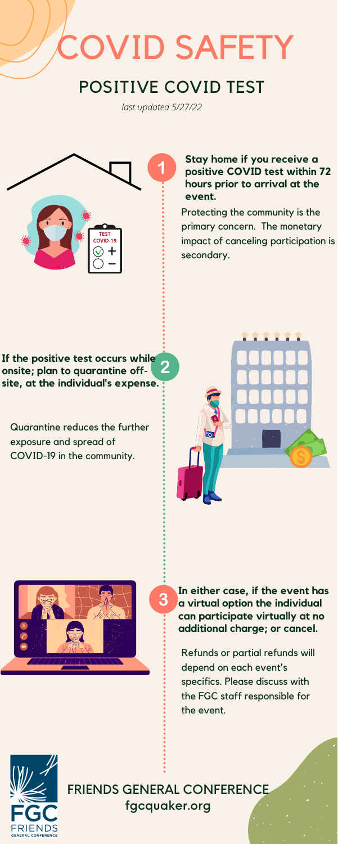Quarantine reduces the further exposure and spread of COVID-19 in the community.





**If the positive test occurs while onsite; plan to quarantine offsite, at the individual's expense.**

> **In either case, if the event has a virtual option the individual can participate virtually at no additional charge; or cancel.**

Refunds or partial refunds will depend on each event's specifics. Please discuss with the FGC staff responsible for the event.



#### **Stay home if you receive a positive COVID test within 72 hours prior to arrival at the event.**

Protecting the community is the primary concern. The monetary impact of canceling participation is secondary.

FRIENDS GENERAL CONFERENCE fgcquaker.org

3

## OVID SAFETY

## POSITIVE COVID TEST

*last updated 5/27/22*